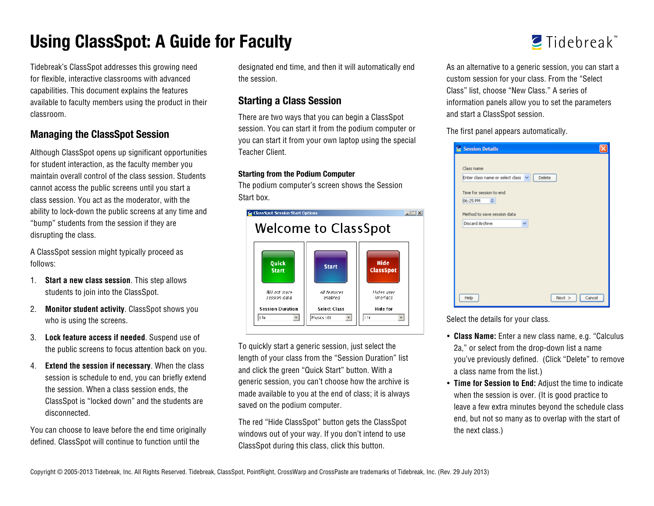# **Using ClassSpot: A Guide for Faculty**

Tidebreak's ClassSpot addresses this growing need for flexible, interactive classrooms with advanced capabilities. This document explains the features available to faculty members using the product in their classroom.

## **Managing the ClassSpot Session**

Although ClassSpot opens up significant opportunities for student interaction, as the faculty member you maintain overall control of the class session. Students cannot access the public screens until you start a class session. You act as the moderator, with the ability to lock-down the public screens at any time and "bump" students from the session if they are disrupting the class.

A ClassSpot session might typically proceed as follows:

- 1. **Start a new class session**. This step allows students to join into the ClassSpot.
- 2. **Monitor student activity**. ClassSpot shows you who is using the screens.
- 3. **Lock feature access if needed**. Suspend use of the public screens to focus attention back on you.
- 4. **Extend the session if necessary**. When the class session is schedule to end, you can briefly extend the session. When a class session ends, the ClassSpot is "locked down" and the students are disconnected.

You can choose to leave before the end time originally defined. ClassSpot will continue to function until the

designated end time, and then it will automatically end the session.

## **Starting a Class Session**

There are two ways that you can begin a ClassSpot session. You can start it from the podium computer or you can start it from your own laptop using the special Teacher Client.

#### **Starting from the Podium Computer**

The podium computer's screen shows the Session Start box.



To quickly start a generic session, just select the length of your class from the "Session Duration" list and click the green "Quick Start" button. With a generic session, you can't choose how the archive is made available to you at the end of class; it is always saved on the podium computer.

The red "Hide ClassSpot" button gets the ClassSpot windows out of your way. If you don't intend to use ClassSpot during this class, click this button.



As an alternative to a generic session, you can start a custom session for your class. From the "Select Class" list, choose "New Class." A series of information panels allow you to set the parameters and start a ClassSpot session.

The first panel appears automatically.

| Session Details                           |  |
|-------------------------------------------|--|
|                                           |  |
| Class name                                |  |
| Enter class name or select class v Delete |  |
|                                           |  |
| Time for session to end                   |  |
| 06:25 PM<br>$\hat{\mathbf{v}}$            |  |
| Method to save session data               |  |
| Discard Archive<br>v                      |  |
|                                           |  |
| $Next > \Box$<br>Cancel<br>Help           |  |

Select the details for your class.

- **Class Name:** Enter a new class name, e.g. "Calculus 2a," or select from the drop-down list a name you've previously defined. (Click "Delete" to remove a class name from the list.)
- **Time for Session to End:** Adjust the time to indicate when the session is over. (It is good practice to leave a few extra minutes beyond the schedule class end, but not so many as to overlap with the start of the next class.)